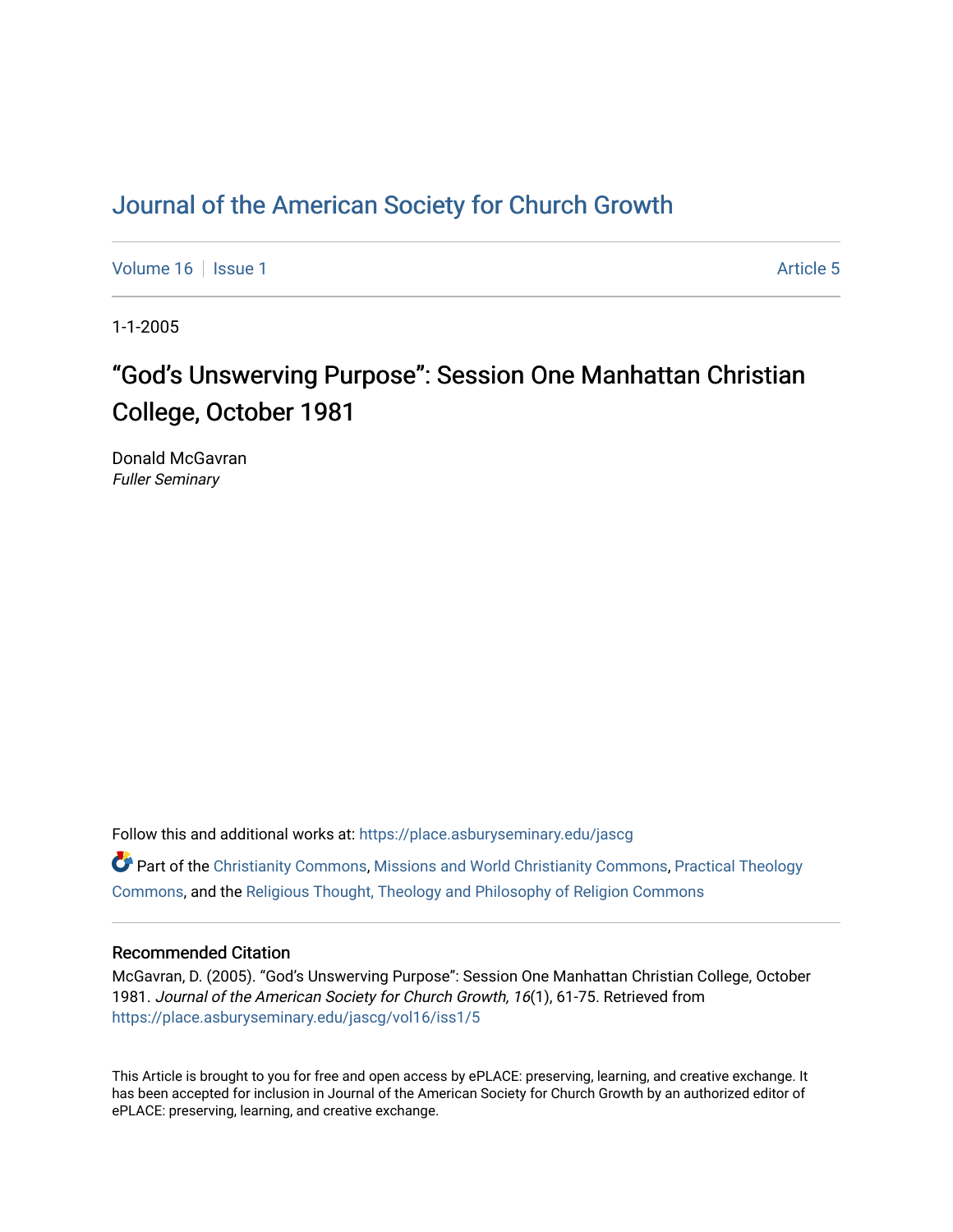## [Journal of the American Society for Church Growth](https://place.asburyseminary.edu/jascg)

[Volume 16](https://place.asburyseminary.edu/jascg/vol16) | [Issue 1](https://place.asburyseminary.edu/jascg/vol16/iss1) Article 5

1-1-2005

# "God's Unswerving Purpose": Session One Manhattan Christian College, October 1981

Donald McGavran Fuller Seminary

Follow this and additional works at: [https://place.asburyseminary.edu/jascg](https://place.asburyseminary.edu/jascg?utm_source=place.asburyseminary.edu%2Fjascg%2Fvol16%2Fiss1%2F5&utm_medium=PDF&utm_campaign=PDFCoverPages)

 $\bullet$  Part of the [Christianity Commons,](https://network.bepress.com/hgg/discipline/1181?utm_source=place.asburyseminary.edu%2Fjascg%2Fvol16%2Fiss1%2F5&utm_medium=PDF&utm_campaign=PDFCoverPages) [Missions and World Christianity Commons](https://network.bepress.com/hgg/discipline/1187?utm_source=place.asburyseminary.edu%2Fjascg%2Fvol16%2Fiss1%2F5&utm_medium=PDF&utm_campaign=PDFCoverPages), Practical Theology [Commons](https://network.bepress.com/hgg/discipline/1186?utm_source=place.asburyseminary.edu%2Fjascg%2Fvol16%2Fiss1%2F5&utm_medium=PDF&utm_campaign=PDFCoverPages), and the [Religious Thought, Theology and Philosophy of Religion Commons](https://network.bepress.com/hgg/discipline/544?utm_source=place.asburyseminary.edu%2Fjascg%2Fvol16%2Fiss1%2F5&utm_medium=PDF&utm_campaign=PDFCoverPages) 

### Recommended Citation

McGavran, D. (2005). "God's Unswerving Purpose": Session One Manhattan Christian College, October 1981. Journal of the American Society for Church Growth, 16(1), 61-75. Retrieved from [https://place.asburyseminary.edu/jascg/vol16/iss1/5](https://place.asburyseminary.edu/jascg/vol16/iss1/5?utm_source=place.asburyseminary.edu%2Fjascg%2Fvol16%2Fiss1%2F5&utm_medium=PDF&utm_campaign=PDFCoverPages) 

This Article is brought to you for free and open access by ePLACE: preserving, learning, and creative exchange. It has been accepted for inclusion in Journal of the American Society for Church Growth by an authorized editor of ePLACE: preserving, learning, and creative exchange.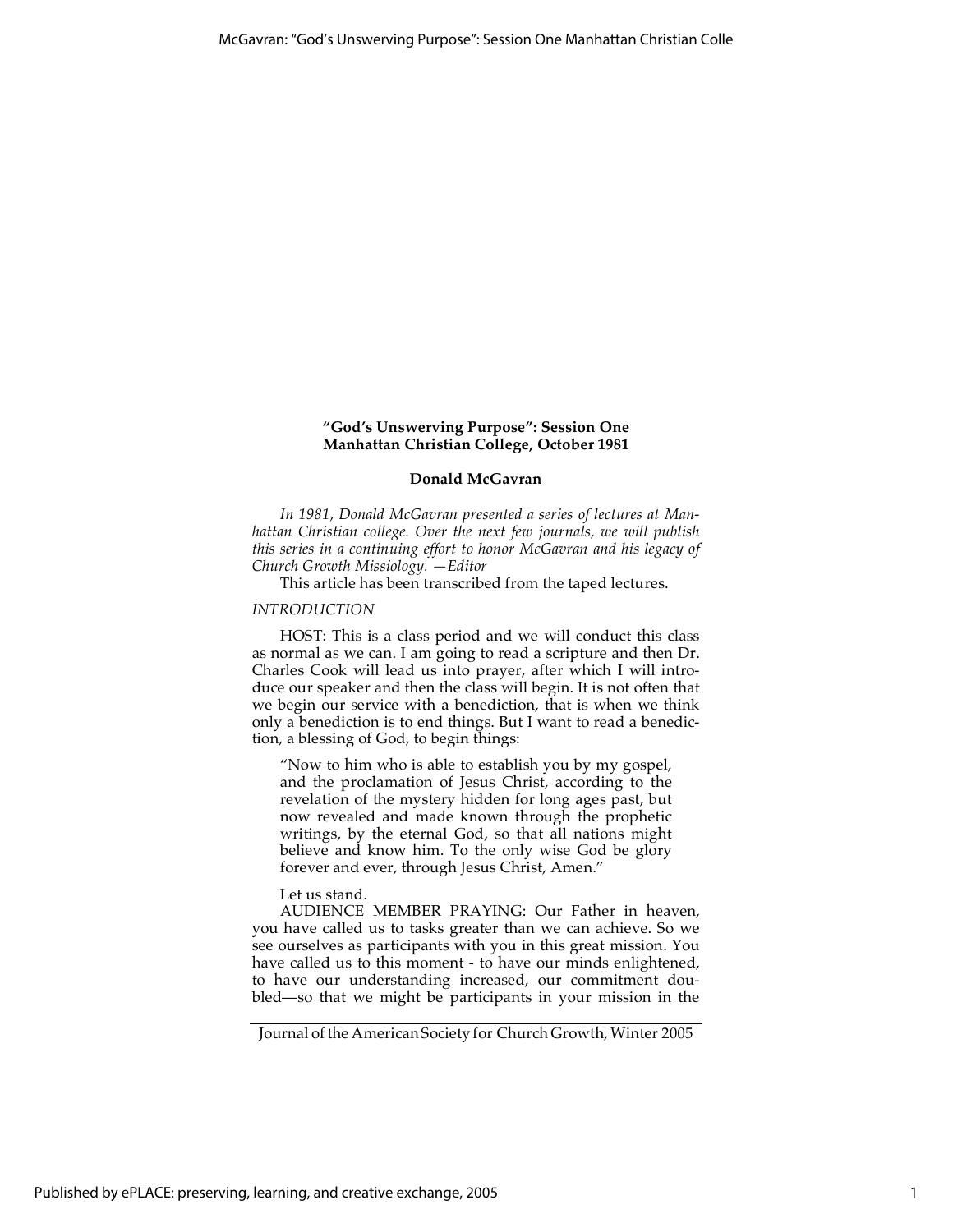#### **"God's Unswerving Purpose": Session One Manhattan Christian College, October 1981**

#### **Donald McGavran**

*In 1981, Donald McGavran presented a series of lectures at Manhattan Christian college. Over the next few journals, we will publish this series in a continuing effort to honor McGavran and his legacy of Church Growth Missiology. —Editor*

This article has been transcribed from the taped lectures.

#### *INTRODUCTION*

HOST: This is a class period and we will conduct this class as normal as we can. I am going to read a scripture and then Dr. Charles Cook will lead us into prayer, after which I will introduce our speaker and then the class will begin. It is not often that we begin our service with a benediction, that is when we think only a benediction is to end things. But I want to read a benediction, a blessing of God, to begin things:

"Now to him who is able to establish you by my gospel, and the proclamation of Jesus Christ, according to the revelation of the mystery hidden for long ages past, but now revealed and made known through the prophetic writings, by the eternal God, so that all nations might believe and know him. To the only wise God be glory forever and ever, through Jesus Christ, Amen."

#### Let us stand.

AUDIENCE MEMBER PRAYING: Our Father in heaven, you have called us to tasks greater than we can achieve. So we see ourselves as participants with you in this great mission. You have called us to this moment - to have our minds enlightened, to have our understanding increased, our commitment doubled—so that we might be participants in your mission in the

Journal of the American Society for Church Growth, Winter 2005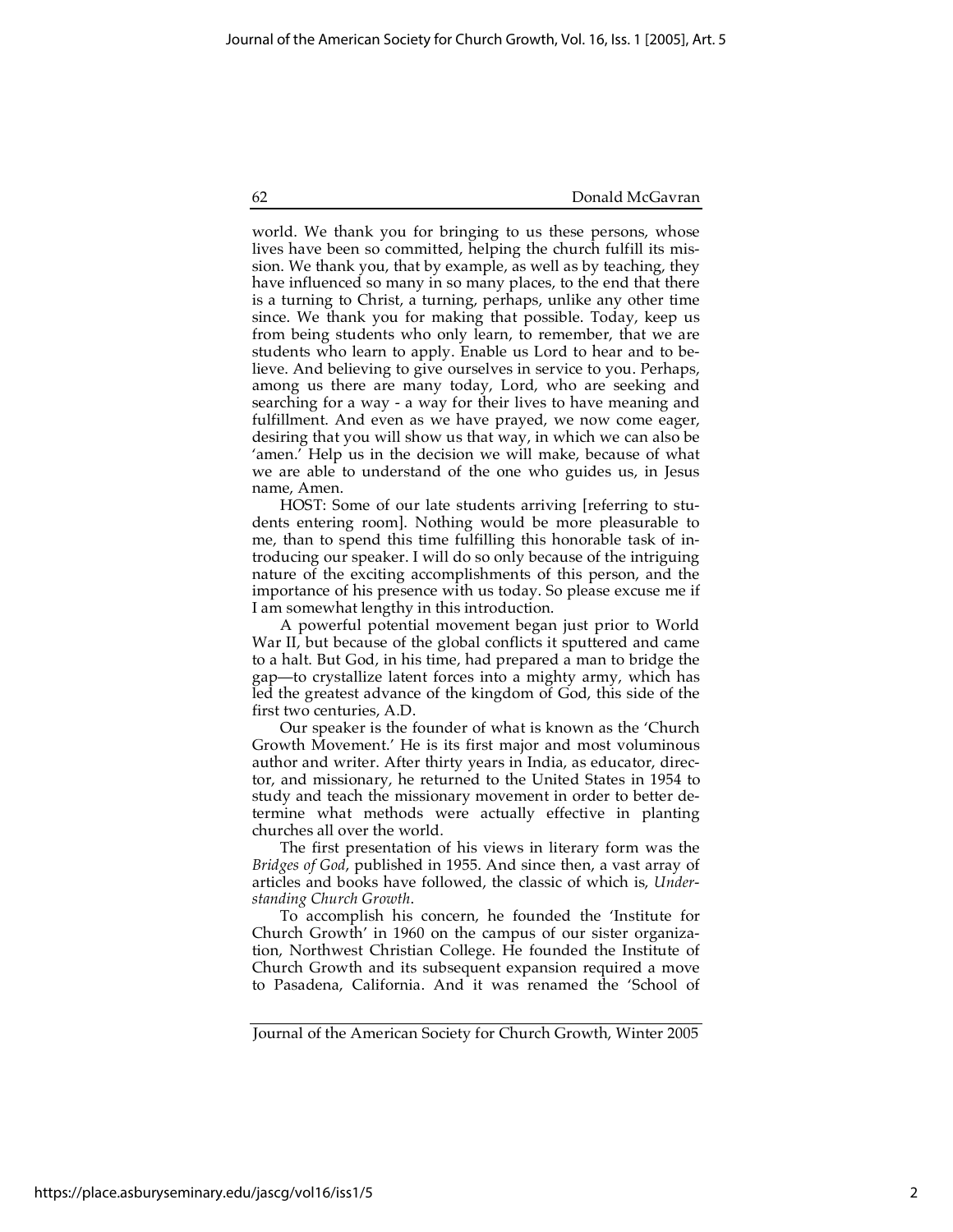world. We thank you for bringing to us these persons, whose lives have been so committed, helping the church fulfill its mission. We thank you, that by example, as well as by teaching, they have influenced so many in so many places, to the end that there is a turning to Christ, a turning, perhaps, unlike any other time since. We thank you for making that possible. Today, keep us from being students who only learn, to remember, that we are students who learn to apply. Enable us Lord to hear and to believe. And believing to give ourselves in service to you. Perhaps, among us there are many today, Lord, who are seeking and searching for a way - a way for their lives to have meaning and fulfillment. And even as we have prayed, we now come eager, desiring that you will show us that way, in which we can also be 'amen.' Help us in the decision we will make, because of what we are able to understand of the one who guides us, in Jesus name, Amen.

HOST: Some of our late students arriving [referring to students entering room]. Nothing would be more pleasurable to me, than to spend this time fulfilling this honorable task of introducing our speaker. I will do so only because of the intriguing nature of the exciting accomplishments of this person, and the importance of his presence with us today. So please excuse me if I am somewhat lengthy in this introduction.

A powerful potential movement began just prior to World War II, but because of the global conflicts it sputtered and came to a halt. But God, in his time, had prepared a man to bridge the gap—to crystallize latent forces into a mighty army, which has led the greatest advance of the kingdom of God, this side of the first two centuries, A.D.

Our speaker is the founder of what is known as the 'Church Growth Movement.' He is its first major and most voluminous author and writer. After thirty years in India, as educator, director, and missionary, he returned to the United States in 1954 to study and teach the missionary movement in order to better determine what methods were actually effective in planting churches all over the world.

The first presentation of his views in literary form was the *Bridges of God*, published in 1955. And since then, a vast array of articles and books have followed, the classic of which is, *Understanding Church Growth*.

To accomplish his concern, he founded the 'Institute for Church Growth' in 1960 on the campus of our sister organization, Northwest Christian College. He founded the Institute of Church Growth and its subsequent expansion required a move to Pasadena, California. And it was renamed the 'School of

Journal of the American Society for Church Growth, Winter 2005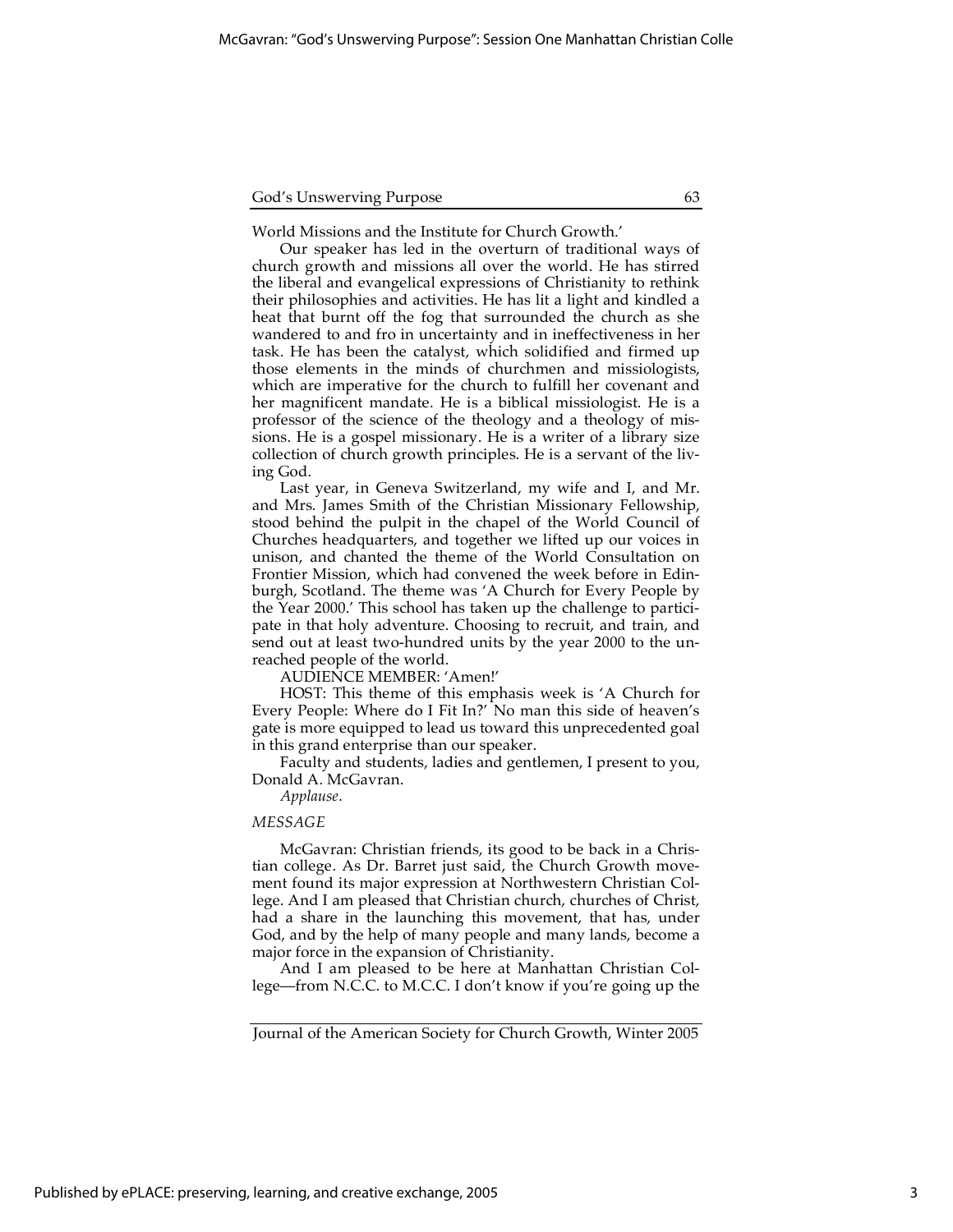World Missions and the Institute for Church Growth.'

Our speaker has led in the overturn of traditional ways of church growth and missions all over the world. He has stirred the liberal and evangelical expressions of Christianity to rethink their philosophies and activities. He has lit a light and kindled a heat that burnt off the fog that surrounded the church as she wandered to and fro in uncertainty and in ineffectiveness in her task. He has been the catalyst, which solidified and firmed up those elements in the minds of churchmen and missiologists, which are imperative for the church to fulfill her covenant and her magnificent mandate. He is a biblical missiologist. He is a professor of the science of the theology and a theology of missions. He is a gospel missionary. He is a writer of a library size collection of church growth principles. He is a servant of the living God.

Last year, in Geneva Switzerland, my wife and I, and Mr. and Mrs. James Smith of the Christian Missionary Fellowship, stood behind the pulpit in the chapel of the World Council of Churches headquarters, and together we lifted up our voices in unison, and chanted the theme of the World Consultation on Frontier Mission, which had convened the week before in Edinburgh, Scotland. The theme was 'A Church for Every People by the Year 2000.' This school has taken up the challenge to participate in that holy adventure. Choosing to recruit, and train, and send out at least two-hundred units by the year 2000 to the unreached people of the world.

AUDIENCE MEMBER: 'Amen!'

HOST: This theme of this emphasis week is 'A Church for Every People: Where do I Fit In?' No man this side of heaven's gate is more equipped to lead us toward this unprecedented goal in this grand enterprise than our speaker.

Faculty and students, ladies and gentlemen, I present to you, Donald A. McGavran.

*Applause*.

#### *MESSAGE*

McGavran: Christian friends, its good to be back in a Christian college. As Dr. Barret just said, the Church Growth movement found its major expression at Northwestern Christian College. And I am pleased that Christian church, churches of Christ, had a share in the launching this movement, that has, under God, and by the help of many people and many lands, become a major force in the expansion of Christianity.

And I am pleased to be here at Manhattan Christian College—from N.C.C. to M.C.C. I don't know if you're going up the

Published by ePLACE: preserving, learning, and creative exchange, 2005

Journal of the American Society for Church Growth, Winter 2005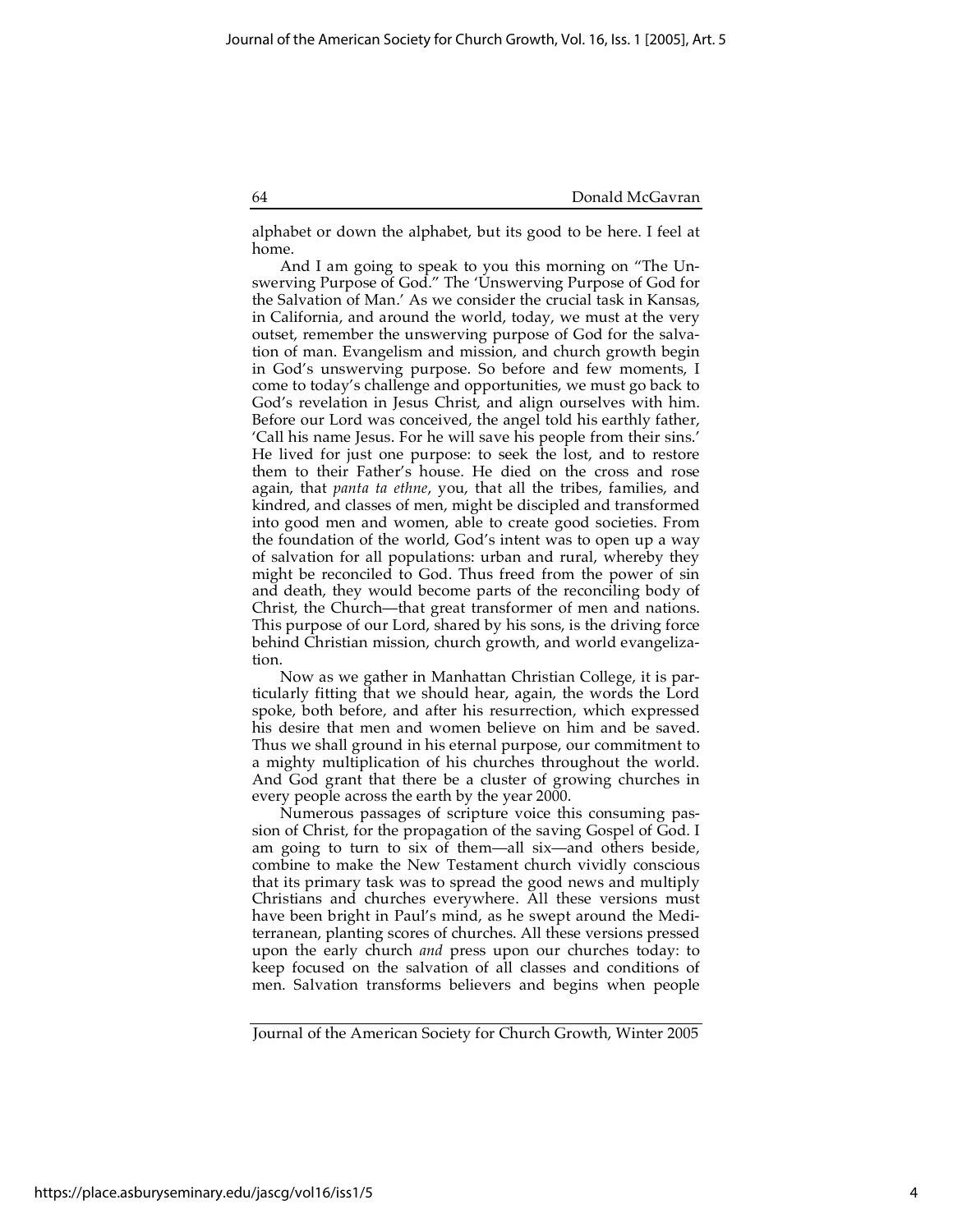alphabet or down the alphabet, but its good to be here. I feel at home.

And I am going to speak to you this morning on "The Unswerving Purpose of God." The 'Unswerving Purpose of God for the Salvation of Man.' As we consider the crucial task in Kansas, in California, and around the world, today, we must at the very outset, remember the unswerving purpose of God for the salvation of man. Evangelism and mission, and church growth begin in God's unswerving purpose. So before and few moments, I come to today's challenge and opportunities, we must go back to God's revelation in Jesus Christ, and align ourselves with him. Before our Lord was conceived, the angel told his earthly father, 'Call his name Jesus. For he will save his people from their sins.' He lived for just one purpose: to seek the lost, and to restore them to their Father's house. He died on the cross and rose again, that *panta ta ethne*, you, that all the tribes, families, and kindred, and classes of men, might be discipled and transformed into good men and women, able to create good societies. From the foundation of the world, God's intent was to open up a way of salvation for all populations: urban and rural, whereby they might be reconciled to God. Thus freed from the power of sin and death, they would become parts of the reconciling body of Christ, the Church—that great transformer of men and nations. This purpose of our Lord, shared by his sons, is the driving force behind Christian mission, church growth, and world evangelization.

Now as we gather in Manhattan Christian College, it is particularly fitting that we should hear, again, the words the Lord spoke, both before, and after his resurrection, which expressed his desire that men and women believe on him and be saved. Thus we shall ground in his eternal purpose, our commitment to a mighty multiplication of his churches throughout the world. And God grant that there be a cluster of growing churches in every people across the earth by the year 2000.

Numerous passages of scripture voice this consuming passion of Christ, for the propagation of the saving Gospel of God. I am going to turn to six of them—all six—and others beside, combine to make the New Testament church vividly conscious that its primary task was to spread the good news and multiply Christians and churches everywhere. All these versions must have been bright in Paul's mind, as he swept around the Mediterranean, planting scores of churches. All these versions pressed upon the early church *and* press upon our churches today: to keep focused on the salvation of all classes and conditions of men. Salvation transforms believers and begins when people

Journal of the American Society for Church Growth, Winter 2005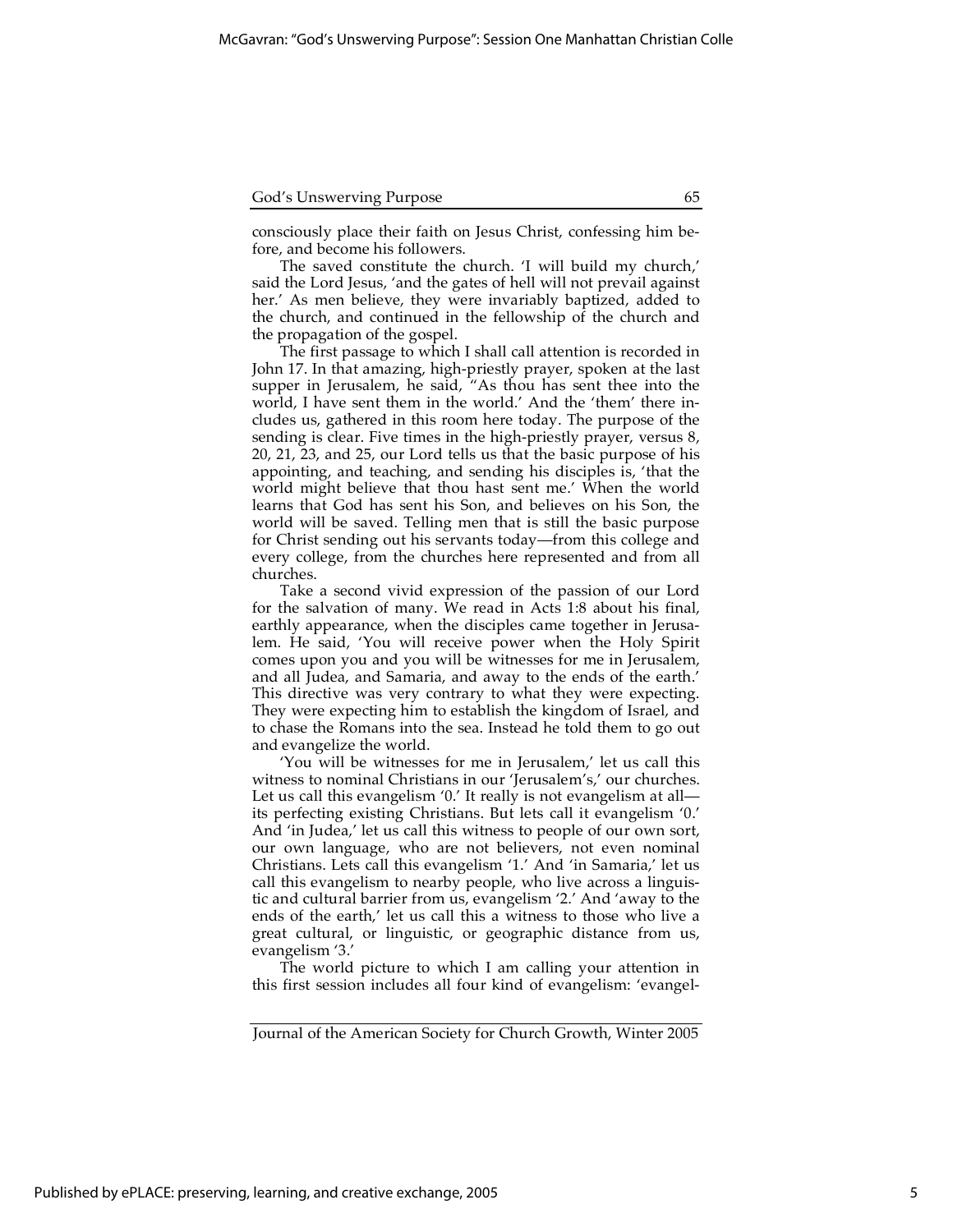consciously place their faith on Jesus Christ, confessing him before, and become his followers.

The saved constitute the church. 'I will build my church,' said the Lord Jesus, 'and the gates of hell will not prevail against her.' As men believe, they were invariably baptized, added to the church, and continued in the fellowship of the church and the propagation of the gospel.

The first passage to which I shall call attention is recorded in John 17. In that amazing, high-priestly prayer, spoken at the last supper in Jerusalem, he said, "As thou has sent thee into the world, I have sent them in the world.' And the 'them' there includes us, gathered in this room here today. The purpose of the sending is clear. Five times in the high-priestly prayer, versus 8, 20, 21, 23, and 25, our Lord tells us that the basic purpose of his appointing, and teaching, and sending his disciples is, 'that the world might believe that thou hast sent me.' When the world learns that God has sent his Son, and believes on his Son, the world will be saved. Telling men that is still the basic purpose for Christ sending out his servants today—from this college and every college, from the churches here represented and from all churches.

Take a second vivid expression of the passion of our Lord for the salvation of many. We read in Acts 1:8 about his final, earthly appearance, when the disciples came together in Jerusalem. He said, 'You will receive power when the Holy Spirit comes upon you and you will be witnesses for me in Jerusalem, and all Judea, and Samaria, and away to the ends of the earth.' This directive was very contrary to what they were expecting. They were expecting him to establish the kingdom of Israel, and to chase the Romans into the sea. Instead he told them to go out and evangelize the world.

'You will be witnesses for me in Jerusalem,' let us call this witness to nominal Christians in our 'Jerusalem's,' our churches. Let us call this evangelism '0.' It really is not evangelism at all its perfecting existing Christians. But lets call it evangelism '0.' And 'in Judea,' let us call this witness to people of our own sort, our own language, who are not believers, not even nominal Christians. Lets call this evangelism '1.' And 'in Samaria,' let us call this evangelism to nearby people, who live across a linguistic and cultural barrier from us, evangelism '2.' And 'away to the ends of the earth,' let us call this a witness to those who live a great cultural, or linguistic, or geographic distance from us, evangelism '3.'

The world picture to which I am calling your attention in this first session includes all four kind of evangelism: 'evangel-

Journal of the American Society for Church Growth, Winter 2005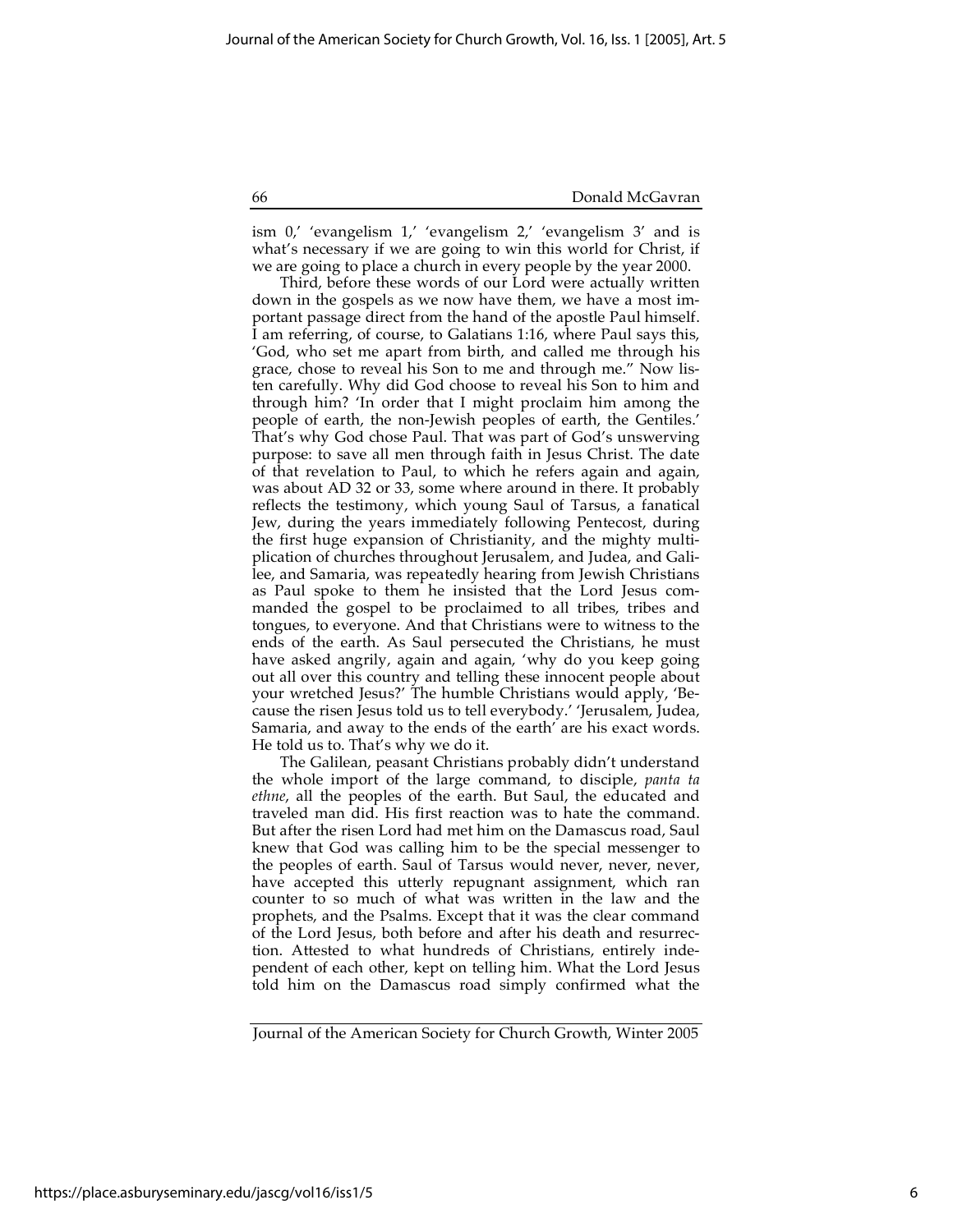ism 0,' 'evangelism 1,' 'evangelism 2,' 'evangelism 3' and is what's necessary if we are going to win this world for Christ, if we are going to place a church in every people by the year 2000.

Third, before these words of our Lord were actually written down in the gospels as we now have them, we have a most important passage direct from the hand of the apostle Paul himself. I am referring, of course, to Galatians 1:16, where Paul says this, 'God, who set me apart from birth, and called me through his grace, chose to reveal his Son to me and through me." Now listen carefully. Why did God choose to reveal his Son to him and through him? 'In order that I might proclaim him among the people of earth, the non-Jewish peoples of earth, the Gentiles.' That's why God chose Paul. That was part of God's unswerving purpose: to save all men through faith in Jesus Christ. The date of that revelation to Paul, to which he refers again and again, was about AD 32 or 33, some where around in there. It probably reflects the testimony, which young Saul of Tarsus, a fanatical Jew, during the years immediately following Pentecost, during the first huge expansion of Christianity, and the mighty multiplication of churches throughout Jerusalem, and Judea, and Galilee, and Samaria, was repeatedly hearing from Jewish Christians as Paul spoke to them he insisted that the Lord Jesus commanded the gospel to be proclaimed to all tribes, tribes and tongues, to everyone. And that Christians were to witness to the ends of the earth. As Saul persecuted the Christians, he must have asked angrily, again and again, 'why do you keep going out all over this country and telling these innocent people about your wretched Jesus?' The humble Christians would apply, 'Because the risen Jesus told us to tell everybody.' 'Jerusalem, Judea, Samaria, and away to the ends of the earth' are his exact words. He told us to. That's why we do it.

The Galilean, peasant Christians probably didn't understand the whole import of the large command, to disciple, *panta ta ethne*, all the peoples of the earth. But Saul, the educated and traveled man did. His first reaction was to hate the command. But after the risen Lord had met him on the Damascus road, Saul knew that God was calling him to be the special messenger to the peoples of earth. Saul of Tarsus would never, never, never, have accepted this utterly repugnant assignment, which ran counter to so much of what was written in the law and the prophets, and the Psalms. Except that it was the clear command of the Lord Jesus, both before and after his death and resurrection. Attested to what hundreds of Christians, entirely independent of each other, kept on telling him. What the Lord Jesus told him on the Damascus road simply confirmed what the

Journal of the American Society for Church Growth, Winter 2005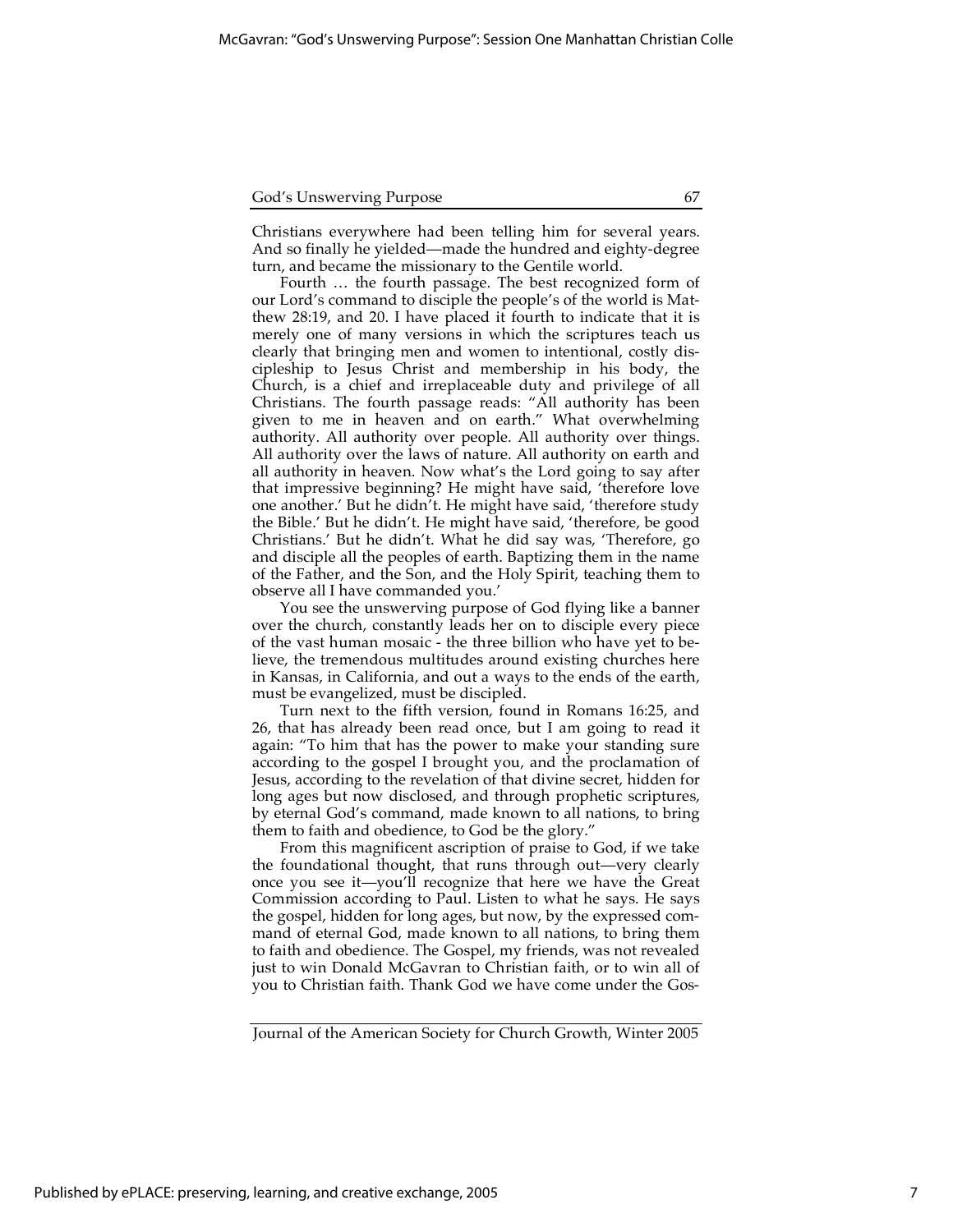Christians everywhere had been telling him for several years. And so finally he yielded—made the hundred and eighty-degree turn, and became the missionary to the Gentile world.

Fourth … the fourth passage. The best recognized form of our Lord's command to disciple the people's of the world is Matthew 28:19, and 20. I have placed it fourth to indicate that it is merely one of many versions in which the scriptures teach us clearly that bringing men and women to intentional, costly discipleship to Jesus Christ and membership in his body, the Church, is a chief and irreplaceable duty and privilege of all Christians. The fourth passage reads: "All authority has been given to me in heaven and on earth." What overwhelming authority. All authority over people. All authority over things. All authority over the laws of nature. All authority on earth and all authority in heaven. Now what's the Lord going to say after that impressive beginning? He might have said, 'therefore love one another.' But he didn't. He might have said, 'therefore study the Bible.' But he didn't. He might have said, 'therefore, be good Christians.' But he didn't. What he did say was, 'Therefore, go and disciple all the peoples of earth. Baptizing them in the name of the Father, and the Son, and the Holy Spirit, teaching them to observe all I have commanded you.'

You see the unswerving purpose of God flying like a banner over the church, constantly leads her on to disciple every piece of the vast human mosaic - the three billion who have yet to believe, the tremendous multitudes around existing churches here in Kansas, in California, and out a ways to the ends of the earth, must be evangelized, must be discipled.

Turn next to the fifth version, found in Romans 16:25, and 26, that has already been read once, but I am going to read it again: "To him that has the power to make your standing sure according to the gospel I brought you, and the proclamation of Jesus, according to the revelation of that divine secret, hidden for long ages but now disclosed, and through prophetic scriptures, by eternal God's command, made known to all nations, to bring them to faith and obedience, to God be the glory."

From this magnificent ascription of praise to God, if we take the foundational thought, that runs through out—very clearly once you see it—you'll recognize that here we have the Great Commission according to Paul. Listen to what he says. He says the gospel, hidden for long ages, but now, by the expressed command of eternal God, made known to all nations, to bring them to faith and obedience. The Gospel, my friends, was not revealed just to win Donald McGavran to Christian faith, or to win all of you to Christian faith. Thank God we have come under the Gos-

Journal of the American Society for Church Growth, Winter 2005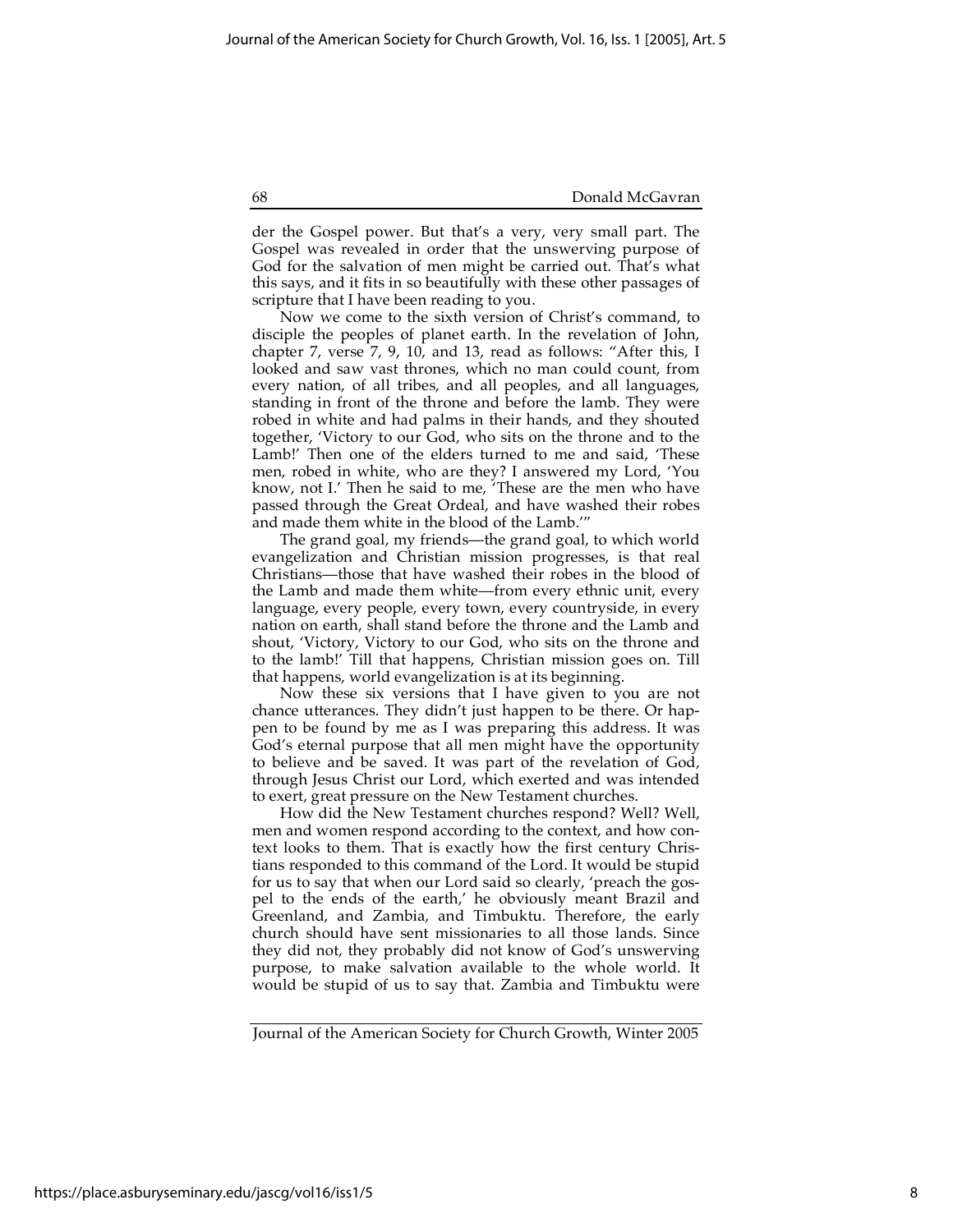der the Gospel power. But that's a very, very small part. The Gospel was revealed in order that the unswerving purpose of God for the salvation of men might be carried out. That's what this says, and it fits in so beautifully with these other passages of scripture that I have been reading to you.

Now we come to the sixth version of Christ's command, to disciple the peoples of planet earth. In the revelation of John, chapter 7, verse 7, 9, 10, and 13, read as follows: "After this, I looked and saw vast thrones, which no man could count, from every nation, of all tribes, and all peoples, and all languages, standing in front of the throne and before the lamb. They were robed in white and had palms in their hands, and they shouted together, 'Victory to our God, who sits on the throne and to the Lamb!' Then one of the elders turned to me and said, 'These men, robed in white, who are they? I answered my Lord, 'You know, not I.' Then he said to me, 'These are the men who have passed through the Great Ordeal, and have washed their robes and made them white in the blood of the Lamb.'"

The grand goal, my friends—the grand goal, to which world evangelization and Christian mission progresses, is that real Christians—those that have washed their robes in the blood of the Lamb and made them white—from every ethnic unit, every language, every people, every town, every countryside, in every nation on earth, shall stand before the throne and the Lamb and shout, 'Victory, Victory to our God, who sits on the throne and to the lamb!' Till that happens, Christian mission goes on. Till that happens, world evangelization is at its beginning.

Now these six versions that I have given to you are not chance utterances. They didn't just happen to be there. Or happen to be found by me as I was preparing this address. It was God's eternal purpose that all men might have the opportunity to believe and be saved. It was part of the revelation of God, through Jesus Christ our Lord, which exerted and was intended to exert, great pressure on the New Testament churches.

How did the New Testament churches respond? Well? Well, men and women respond according to the context, and how context looks to them. That is exactly how the first century Christians responded to this command of the Lord. It would be stupid for us to say that when our Lord said so clearly, 'preach the gospel to the ends of the earth,' he obviously meant Brazil and Greenland, and Zambia, and Timbuktu. Therefore, the early church should have sent missionaries to all those lands. Since they did not, they probably did not know of God's unswerving purpose, to make salvation available to the whole world. It would be stupid of us to say that. Zambia and Timbuktu were

Journal of the American Society for Church Growth, Winter 2005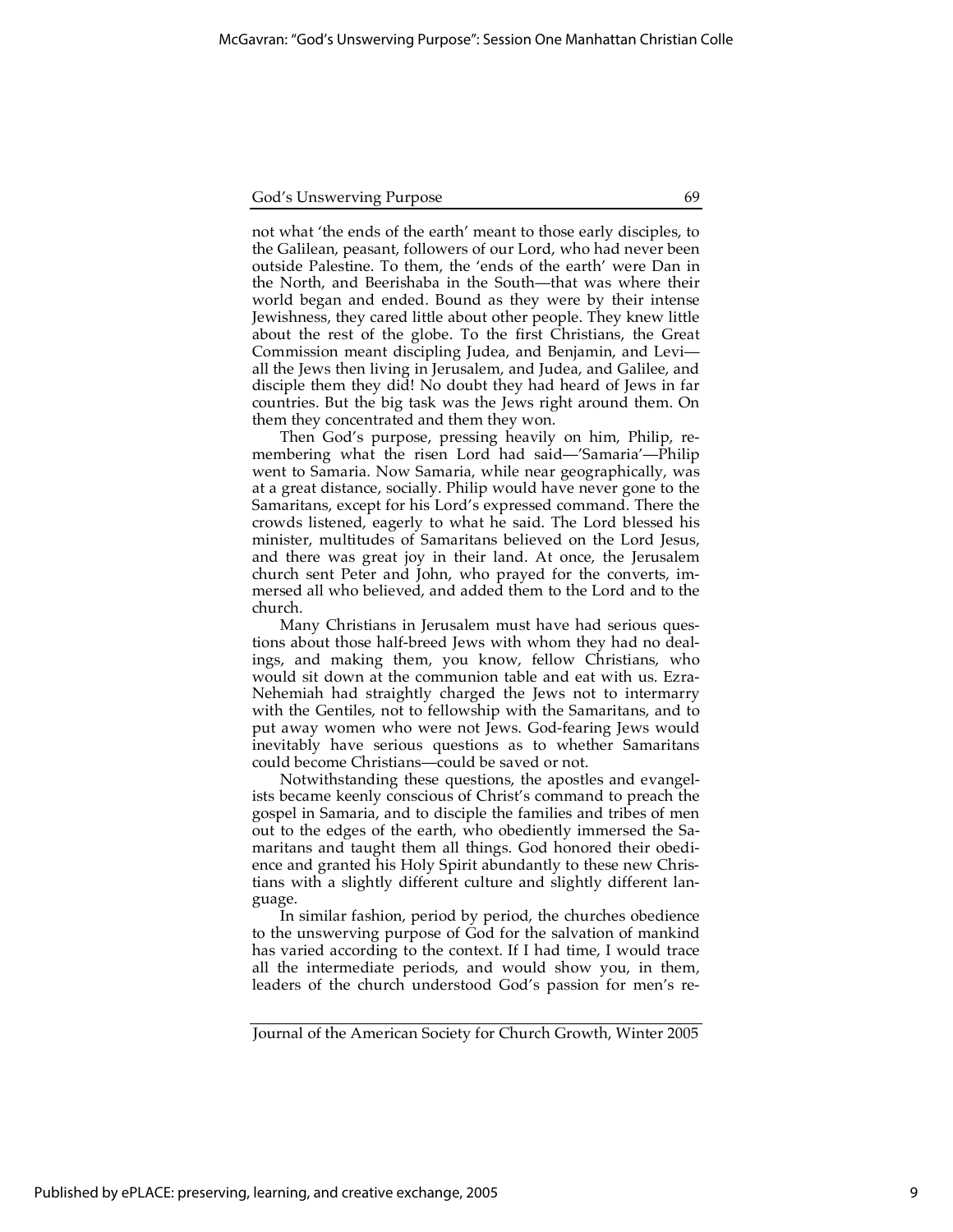not what 'the ends of the earth' meant to those early disciples, to the Galilean, peasant, followers of our Lord, who had never been outside Palestine. To them, the 'ends of the earth' were Dan in the North, and Beerishaba in the South—that was where their world began and ended. Bound as they were by their intense Jewishness, they cared little about other people. They knew little about the rest of the globe. To the first Christians, the Great Commission meant discipling Judea, and Benjamin, and Levi all the Jews then living in Jerusalem, and Judea, and Galilee, and disciple them they did! No doubt they had heard of Jews in far countries. But the big task was the Jews right around them. On them they concentrated and them they won.

Then God's purpose, pressing heavily on him, Philip, remembering what the risen Lord had said—'Samaria'—Philip went to Samaria. Now Samaria, while near geographically, was at a great distance, socially. Philip would have never gone to the Samaritans, except for his Lord's expressed command. There the crowds listened, eagerly to what he said. The Lord blessed his minister, multitudes of Samaritans believed on the Lord Jesus, and there was great joy in their land. At once, the Jerusalem church sent Peter and John, who prayed for the converts, immersed all who believed, and added them to the Lord and to the church.

Many Christians in Jerusalem must have had serious questions about those half-breed Jews with whom they had no dealings, and making them, you know, fellow Christians, who would sit down at the communion table and eat with us. Ezra-Nehemiah had straightly charged the Jews not to intermarry with the Gentiles, not to fellowship with the Samaritans, and to put away women who were not Jews. God-fearing Jews would inevitably have serious questions as to whether Samaritans could become Christians—could be saved or not.

Notwithstanding these questions, the apostles and evangelists became keenly conscious of Christ's command to preach the gospel in Samaria, and to disciple the families and tribes of men out to the edges of the earth, who obediently immersed the Samaritans and taught them all things. God honored their obedience and granted his Holy Spirit abundantly to these new Christians with a slightly different culture and slightly different language.

In similar fashion, period by period, the churches obedience to the unswerving purpose of God for the salvation of mankind has varied according to the context. If I had time, I would trace all the intermediate periods, and would show you, in them, leaders of the church understood God's passion for men's re-

Journal of the American Society for Church Growth, Winter 2005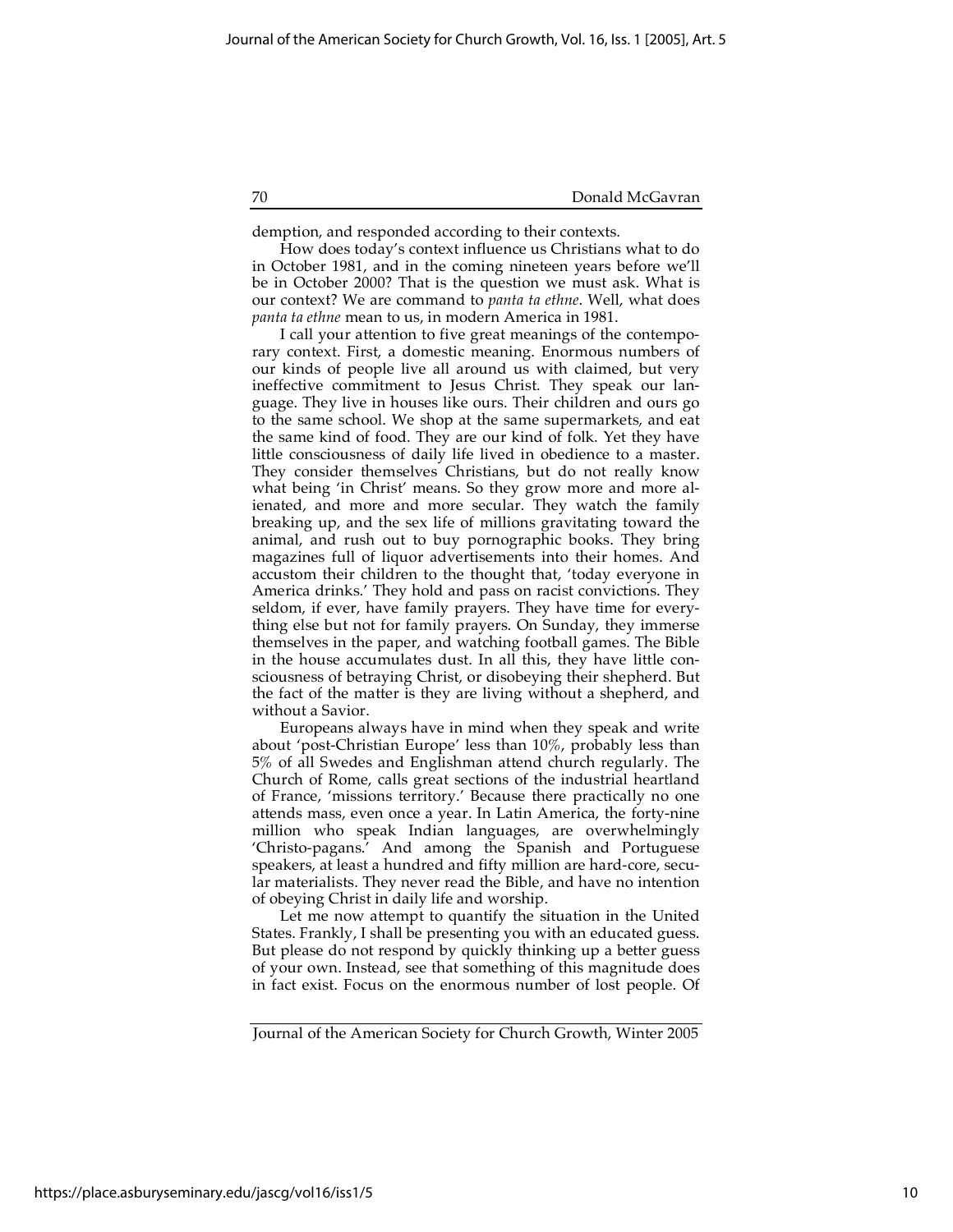demption, and responded according to their contexts.

How does today's context influence us Christians what to do in October 1981, and in the coming nineteen years before we'll be in October 2000? That is the question we must ask. What is our context? We are command to *panta ta ethne*. Well, what does *panta ta ethne* mean to us, in modern America in 1981.

I call your attention to five great meanings of the contemporary context. First, a domestic meaning. Enormous numbers of our kinds of people live all around us with claimed, but very ineffective commitment to Jesus Christ. They speak our language. They live in houses like ours. Their children and ours go to the same school. We shop at the same supermarkets, and eat the same kind of food. They are our kind of folk. Yet they have little consciousness of daily life lived in obedience to a master. They consider themselves Christians, but do not really know what being 'in Christ' means. So they grow more and more alienated, and more and more secular. They watch the family breaking up, and the sex life of millions gravitating toward the animal, and rush out to buy pornographic books. They bring magazines full of liquor advertisements into their homes. And accustom their children to the thought that, 'today everyone in America drinks.' They hold and pass on racist convictions. They seldom, if ever, have family prayers. They have time for everything else but not for family prayers. On Sunday, they immerse themselves in the paper, and watching football games. The Bible in the house accumulates dust. In all this, they have little consciousness of betraying Christ, or disobeying their shepherd. But the fact of the matter is they are living without a shepherd, and without a Savior.

Europeans always have in mind when they speak and write about 'post-Christian Europe' less than 10%, probably less than 5% of all Swedes and Englishman attend church regularly. The Church of Rome, calls great sections of the industrial heartland of France, 'missions territory.' Because there practically no one attends mass, even once a year. In Latin America, the forty-nine million who speak Indian languages, are overwhelmingly 'Christo-pagans.' And among the Spanish and Portuguese speakers, at least a hundred and fifty million are hard-core, secular materialists. They never read the Bible, and have no intention of obeying Christ in daily life and worship.

Let me now attempt to quantify the situation in the United States. Frankly, I shall be presenting you with an educated guess. But please do not respond by quickly thinking up a better guess of your own. Instead, see that something of this magnitude does in fact exist. Focus on the enormous number of lost people. Of

Journal of the American Society for Church Growth, Winter 2005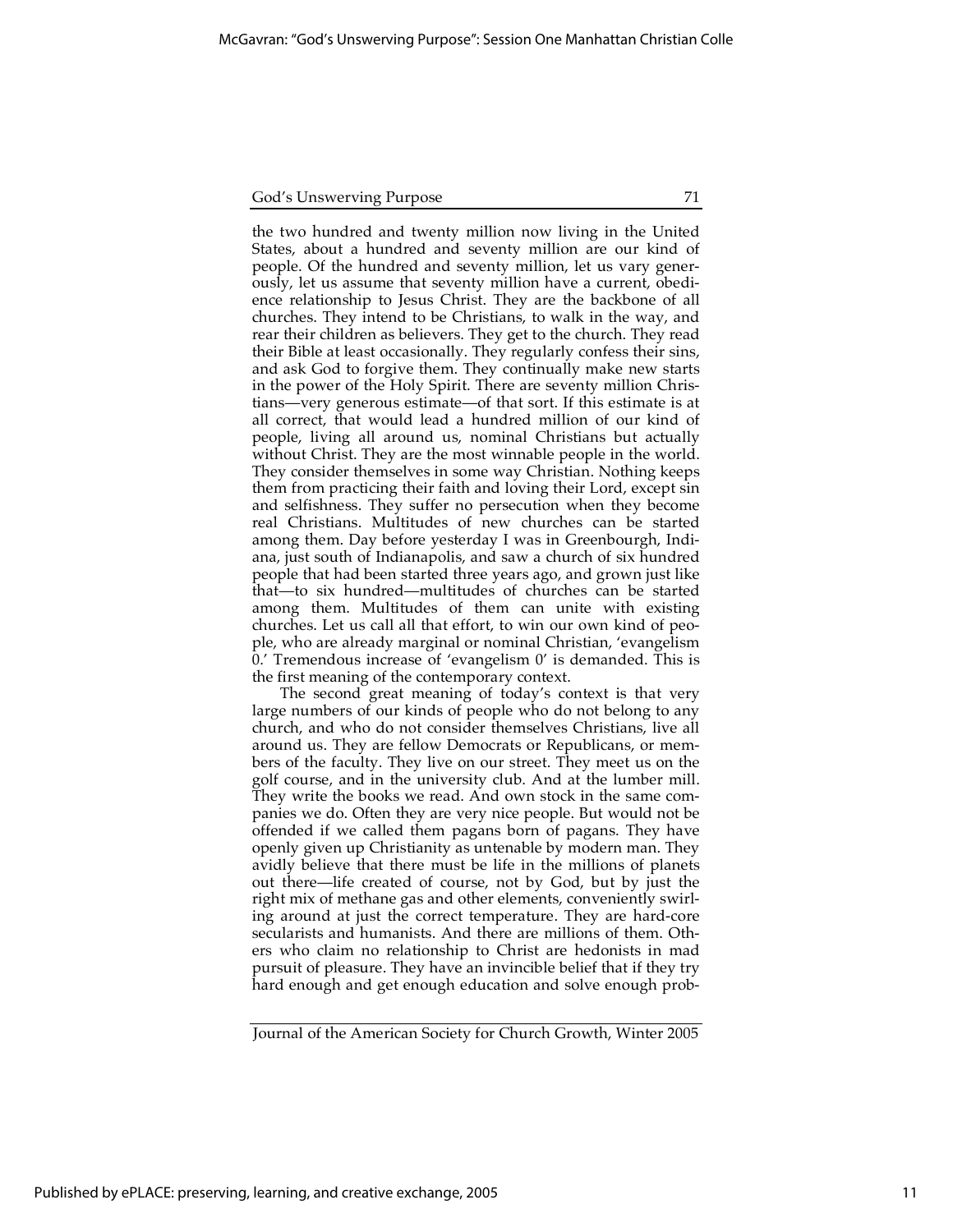the two hundred and twenty million now living in the United States, about a hundred and seventy million are our kind of people. Of the hundred and seventy million, let us vary generously, let us assume that seventy million have a current, obedience relationship to Jesus Christ. They are the backbone of all churches. They intend to be Christians, to walk in the way, and rear their children as believers. They get to the church. They read their Bible at least occasionally. They regularly confess their sins, and ask God to forgive them. They continually make new starts in the power of the Holy Spirit. There are seventy million Christians—very generous estimate—of that sort. If this estimate is at all correct, that would lead a hundred million of our kind of people, living all around us, nominal Christians but actually without Christ. They are the most winnable people in the world. They consider themselves in some way Christian. Nothing keeps them from practicing their faith and loving their Lord, except sin and selfishness. They suffer no persecution when they become real Christians. Multitudes of new churches can be started among them. Day before yesterday I was in Greenbourgh, Indiana, just south of Indianapolis, and saw a church of six hundred people that had been started three years ago, and grown just like that—to six hundred—multitudes of churches can be started among them. Multitudes of them can unite with existing churches. Let us call all that effort, to win our own kind of people, who are already marginal or nominal Christian, 'evangelism 0.' Tremendous increase of 'evangelism 0' is demanded. This is the first meaning of the contemporary context.

The second great meaning of today's context is that very large numbers of our kinds of people who do not belong to any church, and who do not consider themselves Christians, live all around us. They are fellow Democrats or Republicans, or members of the faculty. They live on our street. They meet us on the golf course, and in the university club. And at the lumber mill. They write the books we read. And own stock in the same companies we do. Often they are very nice people. But would not be offended if we called them pagans born of pagans. They have openly given up Christianity as untenable by modern man. They avidly believe that there must be life in the millions of planets out there—life created of course, not by God, but by just the right mix of methane gas and other elements, conveniently swirling around at just the correct temperature. They are hard-core secularists and humanists. And there are millions of them. Others who claim no relationship to Christ are hedonists in mad pursuit of pleasure. They have an invincible belief that if they try hard enough and get enough education and solve enough prob-

Journal of the American Society for Church Growth, Winter 2005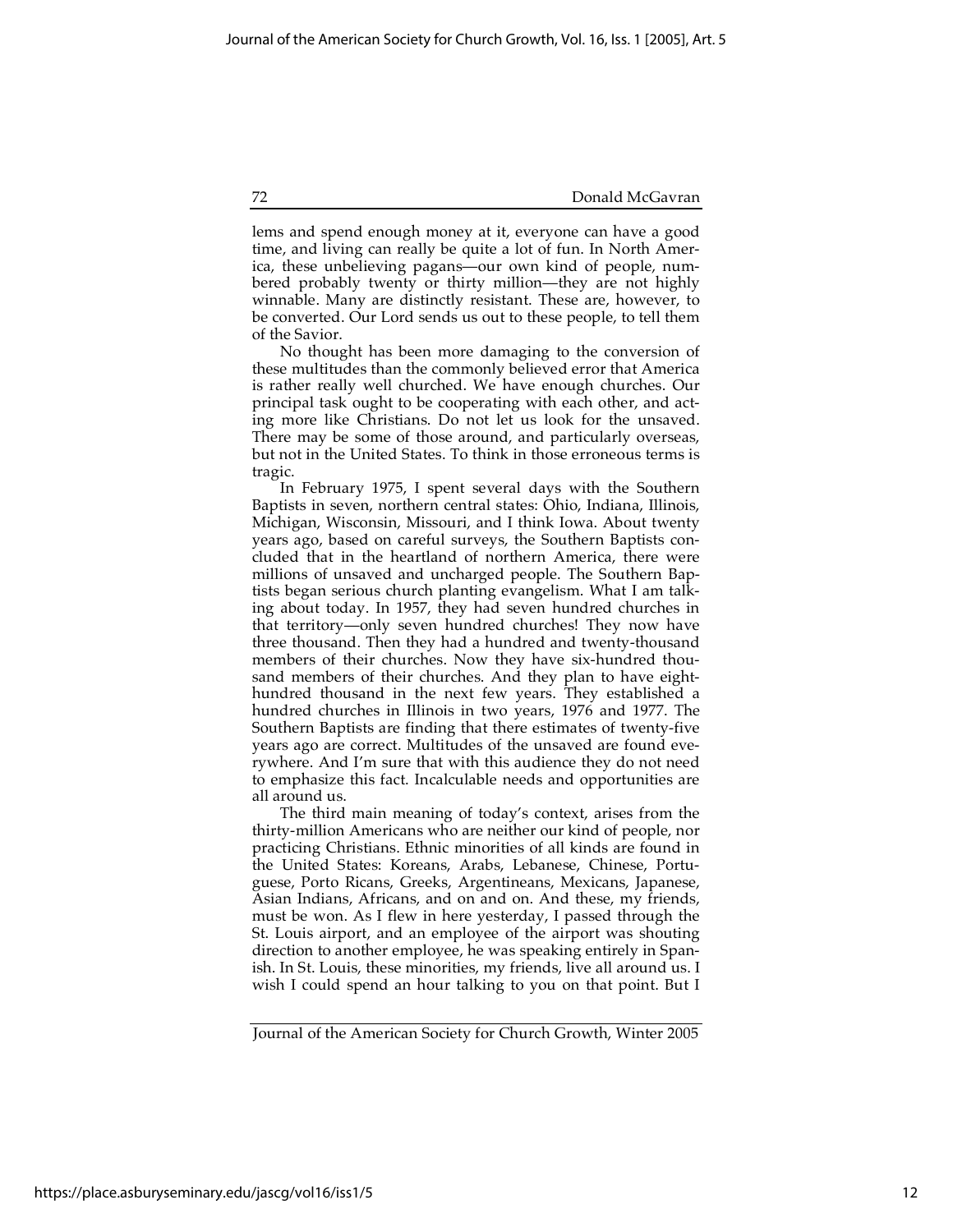lems and spend enough money at it, everyone can have a good time, and living can really be quite a lot of fun. In North America, these unbelieving pagans—our own kind of people, numbered probably twenty or thirty million—they are not highly winnable. Many are distinctly resistant. These are, however, to be converted. Our Lord sends us out to these people, to tell them of the Savior.

No thought has been more damaging to the conversion of these multitudes than the commonly believed error that America is rather really well churched. We have enough churches. Our principal task ought to be cooperating with each other, and acting more like Christians. Do not let us look for the unsaved. There may be some of those around, and particularly overseas, but not in the United States. To think in those erroneous terms is tragic.

In February 1975, I spent several days with the Southern Baptists in seven, northern central states: Ohio, Indiana, Illinois, Michigan, Wisconsin, Missouri, and I think Iowa. About twenty years ago, based on careful surveys, the Southern Baptists concluded that in the heartland of northern America, there were millions of unsaved and uncharged people. The Southern Baptists began serious church planting evangelism. What I am talking about today. In 1957, they had seven hundred churches in that territory—only seven hundred churches! They now have three thousand. Then they had a hundred and twenty-thousand members of their churches. Now they have six-hundred thousand members of their churches. And they plan to have eighthundred thousand in the next few years. They established a hundred churches in Illinois in two years, 1976 and 1977. The Southern Baptists are finding that there estimates of twenty-five years ago are correct. Multitudes of the unsaved are found everywhere. And I'm sure that with this audience they do not need to emphasize this fact. Incalculable needs and opportunities are all around us.

The third main meaning of today's context, arises from the thirty-million Americans who are neither our kind of people, nor practicing Christians. Ethnic minorities of all kinds are found in the United States: Koreans, Arabs, Lebanese, Chinese, Portuguese, Porto Ricans, Greeks, Argentineans, Mexicans, Japanese, Asian Indians, Africans, and on and on. And these, my friends, must be won. As I flew in here yesterday, I passed through the St. Louis airport, and an employee of the airport was shouting direction to another employee, he was speaking entirely in Spanish. In St. Louis, these minorities, my friends, live all around us. I wish I could spend an hour talking to you on that point. But I

Journal of the American Society for Church Growth, Winter 2005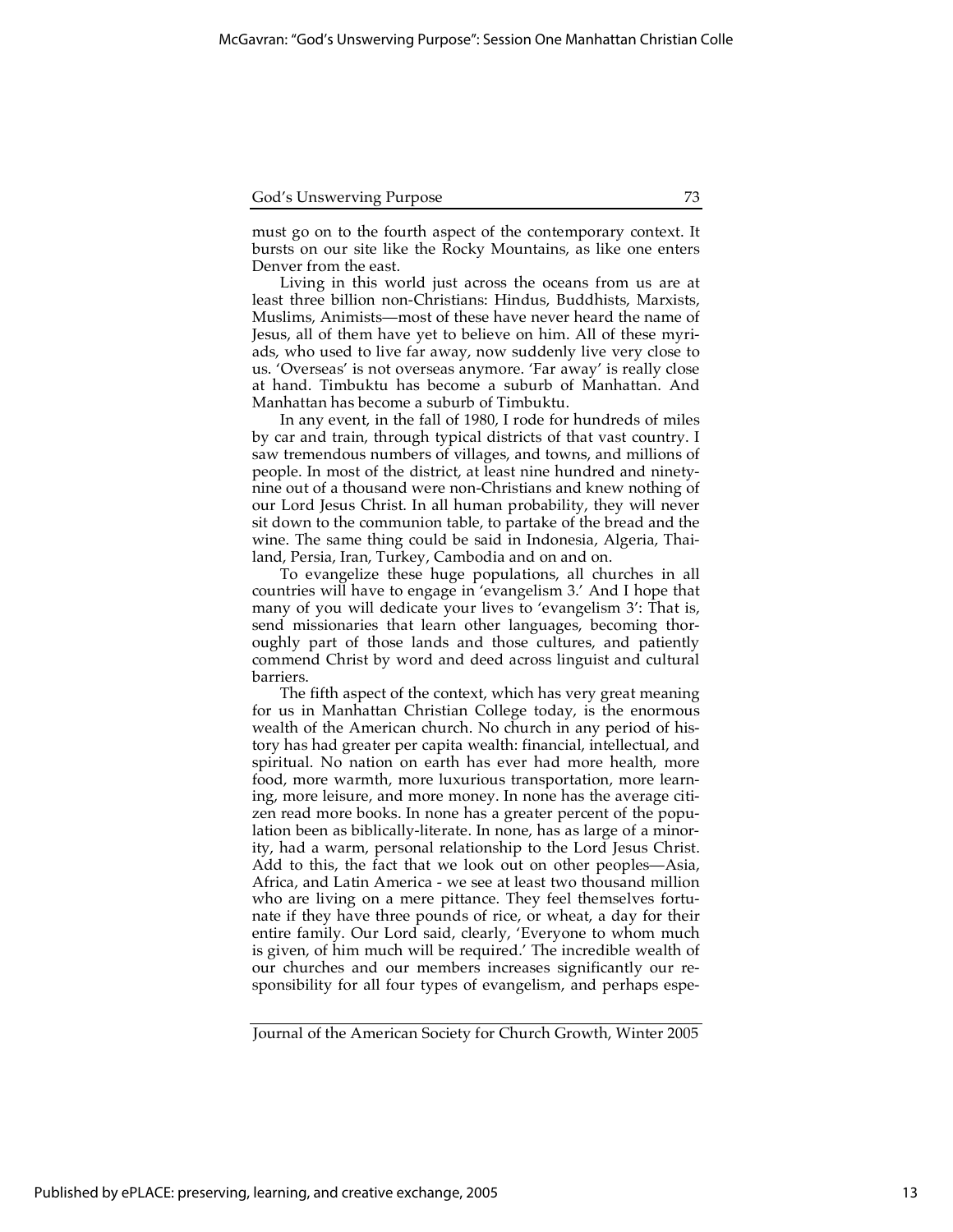must go on to the fourth aspect of the contemporary context. It bursts on our site like the Rocky Mountains, as like one enters Denver from the east.

Living in this world just across the oceans from us are at least three billion non-Christians: Hindus, Buddhists, Marxists, Muslims, Animists—most of these have never heard the name of Jesus, all of them have yet to believe on him. All of these myriads, who used to live far away, now suddenly live very close to us. 'Overseas' is not overseas anymore. 'Far away' is really close at hand. Timbuktu has become a suburb of Manhattan. And Manhattan has become a suburb of Timbuktu.

In any event, in the fall of 1980, I rode for hundreds of miles by car and train, through typical districts of that vast country. I saw tremendous numbers of villages, and towns, and millions of people. In most of the district, at least nine hundred and ninetynine out of a thousand were non-Christians and knew nothing of our Lord Jesus Christ. In all human probability, they will never sit down to the communion table, to partake of the bread and the wine. The same thing could be said in Indonesia, Algeria, Thailand, Persia, Iran, Turkey, Cambodia and on and on.

To evangelize these huge populations, all churches in all countries will have to engage in 'evangelism 3.' And I hope that many of you will dedicate your lives to 'evangelism 3': That is, send missionaries that learn other languages, becoming thoroughly part of those lands and those cultures, and patiently commend Christ by word and deed across linguist and cultural barriers.

The fifth aspect of the context, which has very great meaning for us in Manhattan Christian College today, is the enormous wealth of the American church. No church in any period of history has had greater per capita wealth: financial, intellectual, and spiritual. No nation on earth has ever had more health, more food, more warmth, more luxurious transportation, more learning, more leisure, and more money. In none has the average citizen read more books. In none has a greater percent of the population been as biblically-literate. In none, has as large of a minority, had a warm, personal relationship to the Lord Jesus Christ. Add to this, the fact that we look out on other peoples—Asia, Africa, and Latin America - we see at least two thousand million who are living on a mere pittance. They feel themselves fortunate if they have three pounds of rice, or wheat, a day for their entire family. Our Lord said, clearly, 'Everyone to whom much is given, of him much will be required.' The incredible wealth of our churches and our members increases significantly our responsibility for all four types of evangelism, and perhaps espe-

Journal of the American Society for Church Growth, Winter 2005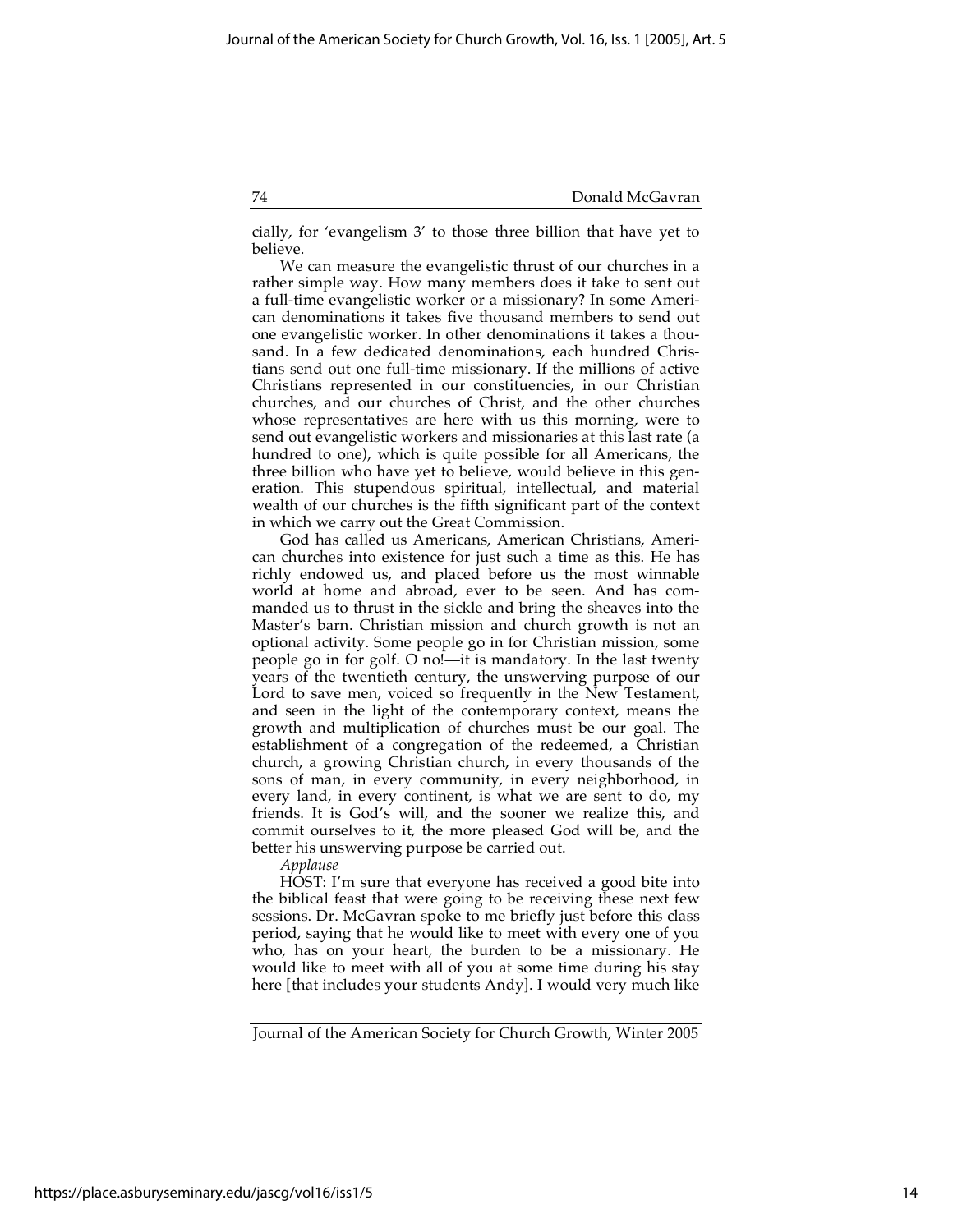cially, for 'evangelism 3' to those three billion that have yet to believe.

We can measure the evangelistic thrust of our churches in a rather simple way. How many members does it take to sent out a full-time evangelistic worker or a missionary? In some American denominations it takes five thousand members to send out one evangelistic worker. In other denominations it takes a thousand. In a few dedicated denominations, each hundred Christians send out one full-time missionary. If the millions of active Christians represented in our constituencies, in our Christian churches, and our churches of Christ, and the other churches whose representatives are here with us this morning, were to send out evangelistic workers and missionaries at this last rate (a hundred to one), which is quite possible for all Americans, the three billion who have yet to believe, would believe in this generation. This stupendous spiritual, intellectual, and material wealth of our churches is the fifth significant part of the context in which we carry out the Great Commission.

God has called us Americans, American Christians, American churches into existence for just such a time as this. He has richly endowed us, and placed before us the most winnable world at home and abroad, ever to be seen. And has commanded us to thrust in the sickle and bring the sheaves into the Master's barn. Christian mission and church growth is not an optional activity. Some people go in for Christian mission, some people go in for golf. O no!—it is mandatory. In the last twenty years of the twentieth century, the unswerving purpose of our Lord to save men, voiced so frequently in the New Testament, and seen in the light of the contemporary context, means the growth and multiplication of churches must be our goal. The establishment of a congregation of the redeemed, a Christian church, a growing Christian church, in every thousands of the sons of man, in every community, in every neighborhood, in every land, in every continent, is what we are sent to do, my friends. It is God's will, and the sooner we realize this, and commit ourselves to it, the more pleased God will be, and the better his unswerving purpose be carried out.

*Applause*

HOST: I'm sure that everyone has received a good bite into the biblical feast that were going to be receiving these next few sessions. Dr. McGavran spoke to me briefly just before this class period, saying that he would like to meet with every one of you who, has on your heart, the burden to be a missionary. He would like to meet with all of you at some time during his stay here [that includes your students Andy]. I would very much like

Journal of the American Society for Church Growth, Winter 2005